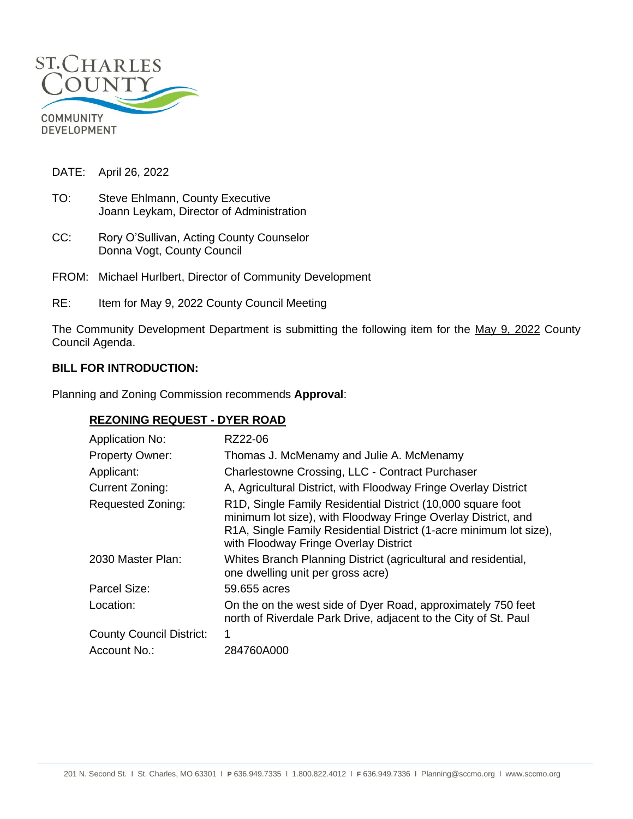

DATE: April 26, 2022

- TO: Steve Ehlmann, County Executive Joann Leykam, Director of Administration
- CC: Rory O'Sullivan, Acting County Counselor Donna Vogt, County Council
- FROM: Michael Hurlbert, Director of Community Development
- RE: Item for May 9, 2022 County Council Meeting

The Community Development Department is submitting the following item for the May 9, 2022 County Council Agenda.

## **BILL FOR INTRODUCTION:**

Planning and Zoning Commission recommends **Approval**:

### **REZONING REQUEST - DYER ROAD**

| <b>Application No:</b>          | RZ22-06                                                                                                                                                                                                                                     |
|---------------------------------|---------------------------------------------------------------------------------------------------------------------------------------------------------------------------------------------------------------------------------------------|
| <b>Property Owner:</b>          | Thomas J. McMenamy and Julie A. McMenamy                                                                                                                                                                                                    |
| Applicant:                      | Charlestowne Crossing, LLC - Contract Purchaser                                                                                                                                                                                             |
| Current Zoning:                 | A, Agricultural District, with Floodway Fringe Overlay District                                                                                                                                                                             |
| <b>Requested Zoning:</b>        | R1D, Single Family Residential District (10,000 square foot<br>minimum lot size), with Floodway Fringe Overlay District, and<br>R1A, Single Family Residential District (1-acre minimum lot size),<br>with Floodway Fringe Overlay District |
| 2030 Master Plan:               | Whites Branch Planning District (agricultural and residential,<br>one dwelling unit per gross acre)                                                                                                                                         |
| Parcel Size:                    | 59,655 acres                                                                                                                                                                                                                                |
| Location:                       | On the on the west side of Dyer Road, approximately 750 feet<br>north of Riverdale Park Drive, adjacent to the City of St. Paul                                                                                                             |
| <b>County Council District:</b> | 1                                                                                                                                                                                                                                           |
| Account No.:                    | 284760A000                                                                                                                                                                                                                                  |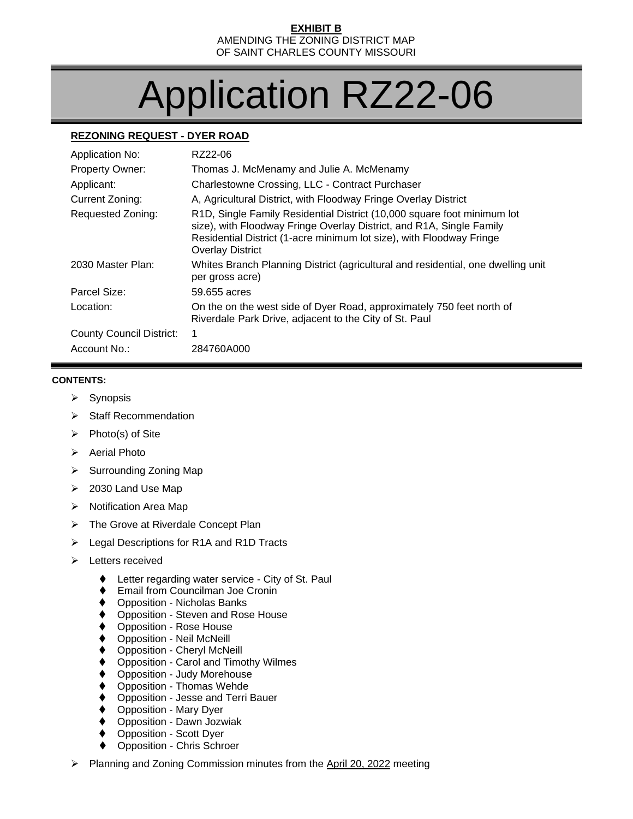#### **EXHIBIT B** AMENDING THE ZONING DISTRICT MAP OF SAINT CHARLES COUNTY MISSOURI

# Application RZ22-06

# **REZONING REQUEST - DYER ROAD**

| Application No:                 | RZ22-06                                                                                                                                                                                                                                            |
|---------------------------------|----------------------------------------------------------------------------------------------------------------------------------------------------------------------------------------------------------------------------------------------------|
| <b>Property Owner:</b>          | Thomas J. McMenamy and Julie A. McMenamy                                                                                                                                                                                                           |
| Applicant:                      | Charlestowne Crossing, LLC - Contract Purchaser                                                                                                                                                                                                    |
| Current Zoning:                 | A, Agricultural District, with Floodway Fringe Overlay District                                                                                                                                                                                    |
| Requested Zoning:               | R1D, Single Family Residential District (10,000 square foot minimum lot<br>size), with Floodway Fringe Overlay District, and R1A, Single Family<br>Residential District (1-acre minimum lot size), with Floodway Fringe<br><b>Overlay District</b> |
| 2030 Master Plan:               | Whites Branch Planning District (agricultural and residential, one dwelling unit<br>per gross acre)                                                                                                                                                |
| Parcel Size:                    | 59.655 acres                                                                                                                                                                                                                                       |
| Location:                       | On the on the west side of Dyer Road, approximately 750 feet north of<br>Riverdale Park Drive, adjacent to the City of St. Paul                                                                                                                    |
| <b>County Council District:</b> | 1                                                                                                                                                                                                                                                  |
| Account No.:                    | 284760A000                                                                                                                                                                                                                                         |

#### **CONTENTS:**

- ➢ Synopsis
- ➢ Staff Recommendation
- ➢ Photo(s) of Site
- ➢ Aerial Photo
- ➢ Surrounding Zoning Map
- ➢ 2030 Land Use Map
- ➢ Notification Area Map
- ➢ The Grove at Riverdale Concept Plan
- ➢ Legal Descriptions for R1A and R1D Tracts
- ➢ Letters received
	- ♦ Letter regarding water service City of St. Paul
	- Email from Councilman Joe Cronin
	- ⧫ Opposition Nicholas Banks
	- ◆ Opposition Steven and Rose House
	- ⧫ Opposition Rose House
	- ⧫ Opposition Neil McNeill
	- ⧫ Opposition Cheryl McNeill
	- ⧫ Opposition Carol and Timothy Wilmes
	- ⧫ Opposition Judy Morehouse
	- ⧫ Opposition Thomas Wehde
	- ⧫ Opposition Jesse and Terri Bauer
	- ⧫ Opposition Mary Dyer
	- ◆ Opposition Dawn Jozwiak
	- ⧫ Opposition Scott Dyer
	- ◆ Opposition Chris Schroer
- ➢ Planning and Zoning Commission minutes from the April 20, 2022 meeting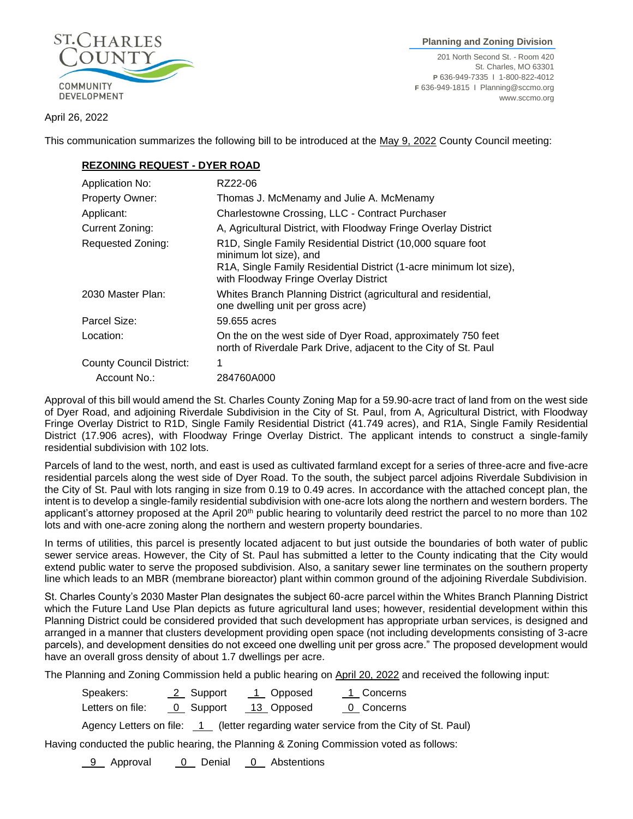

 **Planning and Zoning Division**

201 North Second St. - Room 420 St. Charles, MO 63301 **P** 636-949-7335 I 1-800-822-4012 **F** 636-949-1815 I Planning@sccmo.org www.sccmo.org

April 26, 2022

This communication summarizes the following bill to be introduced at the May 9, 2022 County Council meeting:

## **REZONING REQUEST - DYER ROAD**

| <b>Application No:</b>          | RZ22-06                                                                                                                                                                                                           |
|---------------------------------|-------------------------------------------------------------------------------------------------------------------------------------------------------------------------------------------------------------------|
| <b>Property Owner:</b>          | Thomas J. McMenamy and Julie A. McMenamy                                                                                                                                                                          |
| Applicant:                      | Charlestowne Crossing, LLC - Contract Purchaser                                                                                                                                                                   |
| Current Zoning:                 | A, Agricultural District, with Floodway Fringe Overlay District                                                                                                                                                   |
| Requested Zoning:               | R <sub>1</sub> D, Single Family Residential District (10,000 square foot<br>minimum lot size), and<br>R1A, Single Family Residential District (1-acre minimum lot size),<br>with Floodway Fringe Overlay District |
| 2030 Master Plan:               | Whites Branch Planning District (agricultural and residential,<br>one dwelling unit per gross acre)                                                                                                               |
| Parcel Size:                    | 59.655 acres                                                                                                                                                                                                      |
| Location:                       | On the on the west side of Dyer Road, approximately 750 feet<br>north of Riverdale Park Drive, adjacent to the City of St. Paul                                                                                   |
| <b>County Council District:</b> |                                                                                                                                                                                                                   |
| Account No.:                    | 284760A000                                                                                                                                                                                                        |

Approval of this bill would amend the St. Charles County Zoning Map for a 59.90-acre tract of land from on the west side of Dyer Road, and adjoining Riverdale Subdivision in the City of St. Paul, from A, Agricultural District, with Floodway Fringe Overlay District to R1D, Single Family Residential District (41.749 acres), and R1A, Single Family Residential District (17.906 acres), with Floodway Fringe Overlay District. The applicant intends to construct a single-family residential subdivision with 102 lots.

Parcels of land to the west, north, and east is used as cultivated farmland except for a series of three-acre and five-acre residential parcels along the west side of Dyer Road. To the south, the subject parcel adjoins Riverdale Subdivision in the City of St. Paul with lots ranging in size from 0.19 to 0.49 acres. In accordance with the attached concept plan, the intent is to develop a single-family residential subdivision with one-acre lots along the northern and western borders. The applicant's attorney proposed at the April 20<sup>th</sup> public hearing to voluntarily deed restrict the parcel to no more than 102 lots and with one-acre zoning along the northern and western property boundaries.

In terms of utilities, this parcel is presently located adjacent to but just outside the boundaries of both water of public sewer service areas. However, the City of St. Paul has submitted a letter to the County indicating that the City would extend public water to serve the proposed subdivision. Also, a sanitary sewer line terminates on the southern property line which leads to an MBR (membrane bioreactor) plant within common ground of the adjoining Riverdale Subdivision.

St. Charles County's 2030 Master Plan designates the subject 60-acre parcel within the Whites Branch Planning District which the Future Land Use Plan depicts as future agricultural land uses; however, residential development within this Planning District could be considered provided that such development has appropriate urban services, is designed and arranged in a manner that clusters development providing open space (not including developments consisting of 3-acre parcels), and development densities do not exceed one dwelling unit per gross acre." The proposed development would have an overall gross density of about 1.7 dwellings per acre.

The Planning and Zoning Commission held a public hearing on April 20, 2022 and received the following input:

| Speakers:        | 2 Support | 1 Opposed  | 1 Concerns |
|------------------|-----------|------------|------------|
| Letters on file: | 0 Support | 13 Opposed | 0 Concerns |

Agency Letters on file: 1 (letter regarding water service from the City of St. Paul)

Having conducted the public hearing, the Planning & Zoning Commission voted as follows:

9 Approval 0 Denial 0 Abstentions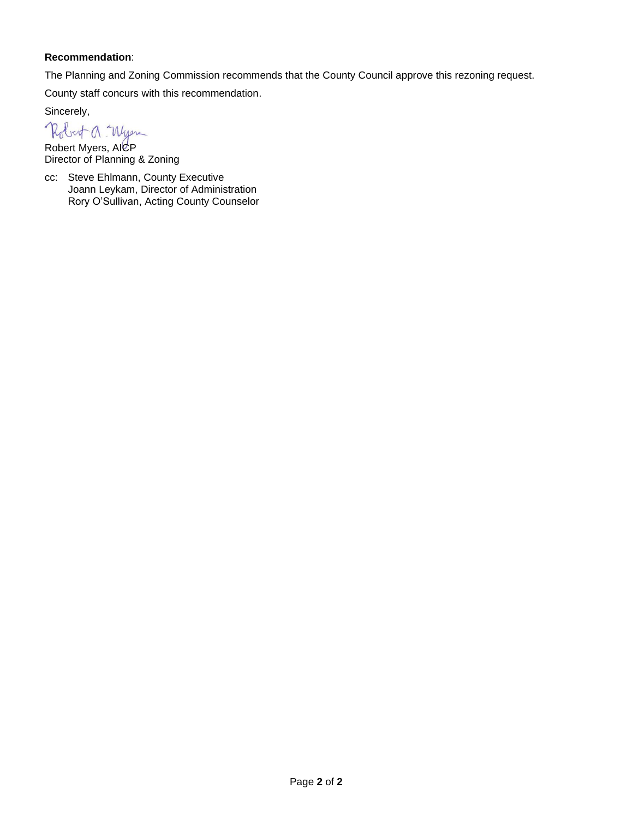### **Recommendation**:

The Planning and Zoning Commission recommends that the County Council approve this rezoning request.

County staff concurs with this recommendation.

Sincerely,

Robert a Wyen

Robert Myers, AICP Director of Planning & Zoning

cc: Steve Ehlmann, County Executive Joann Leykam, Director of Administration Rory O'Sullivan, Acting County Counselor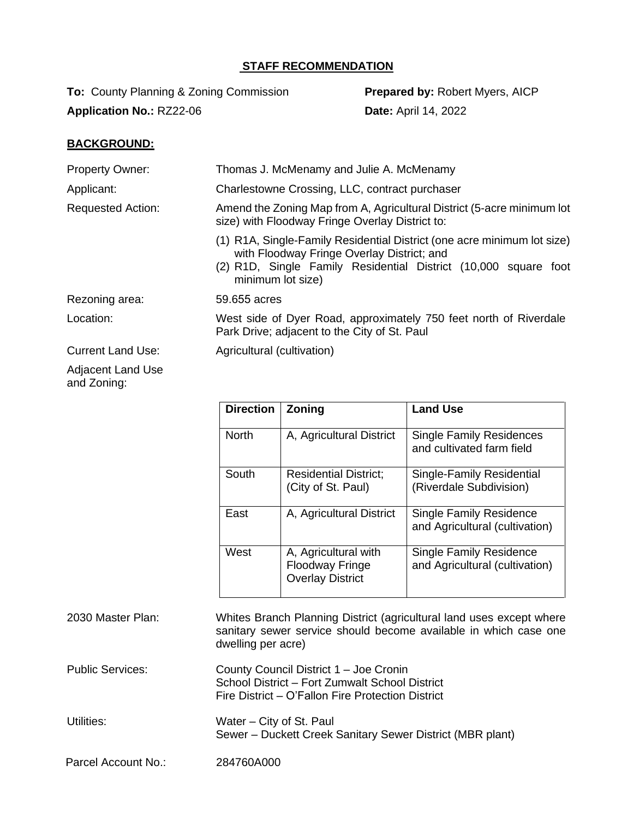# **STAFF RECOMMENDATION**

**To:** County Planning & Zoning Commission **Prepared by:** Robert Myers, AICP **Application No.: RZ22-06 <b>Date:** April 14, 2022

# **BACKGROUND:**

| <b>Property Owner:</b>   | Thomas J. McMenamy and Julie A. McMenamy                                                                                                                                                                      |  |
|--------------------------|---------------------------------------------------------------------------------------------------------------------------------------------------------------------------------------------------------------|--|
| Applicant:               | Charlestowne Crossing, LLC, contract purchaser                                                                                                                                                                |  |
| <b>Requested Action:</b> | Amend the Zoning Map from A, Agricultural District (5-acre minimum lot<br>size) with Floodway Fringe Overlay District to:                                                                                     |  |
|                          | (1) R1A, Single-Family Residential District (one acre minimum lot size)<br>with Floodway Fringe Overlay District; and<br>(2) R1D, Single Family Residential District (10,000 square foot<br>minimum lot size) |  |
| Rezoning area:           | 59.655 acres                                                                                                                                                                                                  |  |
| Location:                | West side of Dyer Road, approximately 750 feet north of Riverdale<br>Park Drive; adjacent to the City of St. Paul                                                                                             |  |
| <b>Current Land Use:</b> | Agricultural (cultivation)                                                                                                                                                                                    |  |
| Adjacent Land Llee       |                                                                                                                                                                                                               |  |

Adjacent Land Use and Zoning:

| <b>Direction</b> | Zoning                                                                    | <b>Land Use</b>                                                  |
|------------------|---------------------------------------------------------------------------|------------------------------------------------------------------|
| <b>North</b>     | A, Agricultural District                                                  | <b>Single Family Residences</b><br>and cultivated farm field     |
| South            | <b>Residential District;</b><br>(City of St. Paul)                        | Single-Family Residential<br>(Riverdale Subdivision)             |
| East             | A, Agricultural District                                                  | <b>Single Family Residence</b><br>and Agricultural (cultivation) |
| West             | A, Agricultural with<br><b>Floodway Fringe</b><br><b>Overlay District</b> | <b>Single Family Residence</b><br>and Agricultural (cultivation) |

| 2030 Master Plan:       | Whites Branch Planning District (agricultural land uses except where<br>sanitary sewer service should become available in which case one<br>dwelling per acre) |
|-------------------------|----------------------------------------------------------------------------------------------------------------------------------------------------------------|
| <b>Public Services:</b> | County Council District 1 - Joe Cronin<br>School District - Fort Zumwalt School District<br>Fire District – O'Fallon Fire Protection District                  |
| Utilities:              | Water – City of St. Paul<br>Sewer – Duckett Creek Sanitary Sewer District (MBR plant)                                                                          |
| Parcel Account No.:     | 284760A000                                                                                                                                                     |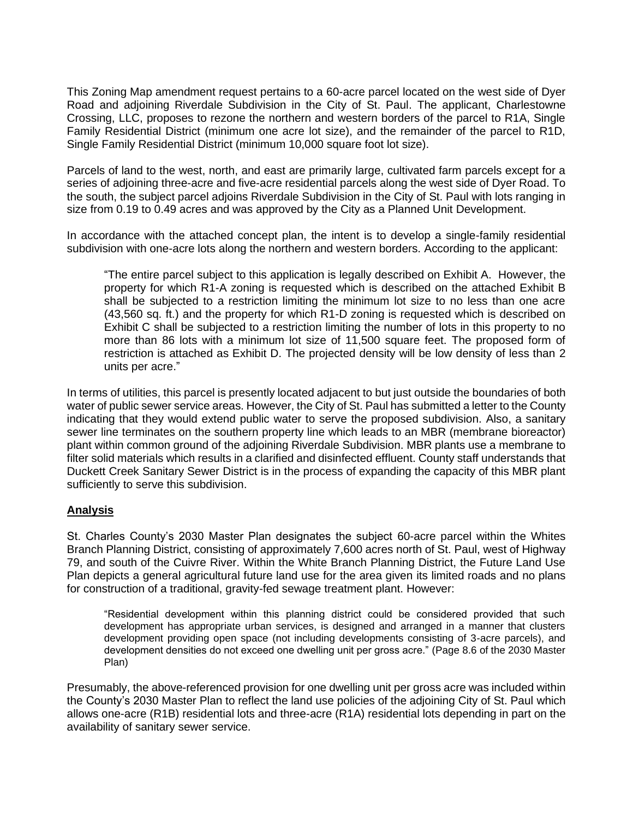This Zoning Map amendment request pertains to a 60-acre parcel located on the west side of Dyer Road and adjoining Riverdale Subdivision in the City of St. Paul. The applicant, Charlestowne Crossing, LLC, proposes to rezone the northern and western borders of the parcel to R1A, Single Family Residential District (minimum one acre lot size), and the remainder of the parcel to R1D, Single Family Residential District (minimum 10,000 square foot lot size).

Parcels of land to the west, north, and east are primarily large, cultivated farm parcels except for a series of adioining three-acre and five-acre residential parcels along the west side of Dyer Road. To the south, the subject parcel adjoins Riverdale Subdivision in the City of St. Paul with lots ranging in size from 0.19 to 0.49 acres and was approved by the City as a Planned Unit Development.

In accordance with the attached concept plan, the intent is to develop a single-family residential subdivision with one-acre lots along the northern and western borders. According to the applicant:

"The entire parcel subject to this application is legally described on Exhibit A. However, the property for which R1-A zoning is requested which is described on the attached Exhibit B shall be subjected to a restriction limiting the minimum lot size to no less than one acre (43,560 sq. ft.) and the property for which R1-D zoning is requested which is described on Exhibit C shall be subjected to a restriction limiting the number of lots in this property to no more than 86 lots with a minimum lot size of 11,500 square feet. The proposed form of restriction is attached as Exhibit D. The projected density will be low density of less than 2 units per acre."

In terms of utilities, this parcel is presently located adjacent to but just outside the boundaries of both water of public sewer service areas. However, the City of St. Paul has submitted a letter to the County indicating that they would extend public water to serve the proposed subdivision. Also, a sanitary sewer line terminates on the southern property line which leads to an MBR (membrane bioreactor) plant within common ground of the adjoining Riverdale Subdivision. MBR plants use a membrane to filter solid materials which results in a clarified and disinfected effluent. County staff understands that Duckett Creek Sanitary Sewer District is in the process of expanding the capacity of this MBR plant sufficiently to serve this subdivision.

# **Analysis**

St. Charles County's 2030 Master Plan designates the subject 60-acre parcel within the Whites Branch Planning District, consisting of approximately 7,600 acres north of St. Paul, west of Highway 79, and south of the Cuivre River. Within the White Branch Planning District, the Future Land Use Plan depicts a general agricultural future land use for the area given its limited roads and no plans for construction of a traditional, gravity-fed sewage treatment plant. However:

"Residential development within this planning district could be considered provided that such development has appropriate urban services, is designed and arranged in a manner that clusters development providing open space (not including developments consisting of 3-acre parcels), and development densities do not exceed one dwelling unit per gross acre." (Page 8.6 of the 2030 Master Plan)

Presumably, the above-referenced provision for one dwelling unit per gross acre was included within the County's 2030 Master Plan to reflect the land use policies of the adjoining City of St. Paul which allows one-acre (R1B) residential lots and three-acre (R1A) residential lots depending in part on the availability of sanitary sewer service.